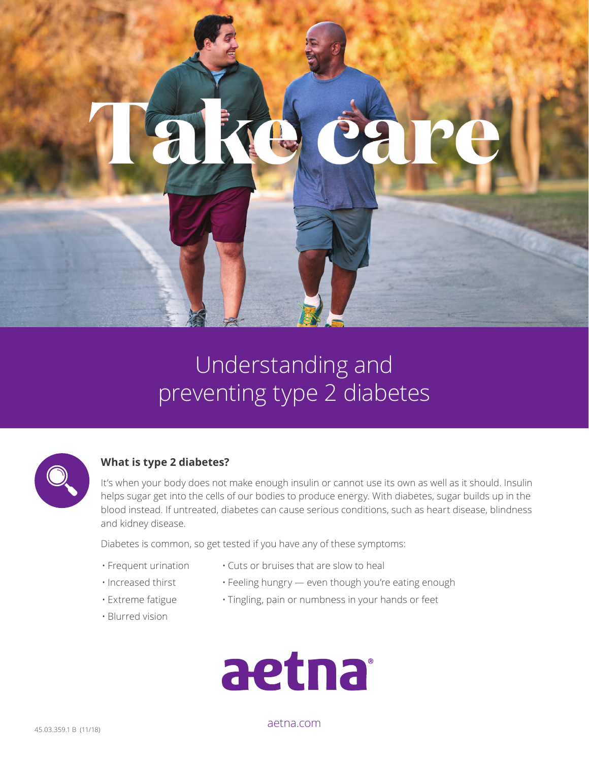## Understanding and preventing type 2 diabetes



### **What is type 2 diabetes?**

It's when your body does not make enough insulin or cannot use its own as well as it should. Insulin helps sugar get into the cells of our bodies to produce energy. With diabetes, sugar builds up in the blood instead. If untreated, diabetes can cause serious conditions, such as heart disease, blindness and kidney disease.

Diabetes is common, so get tested if you have any of these symptoms:

- Frequent urination
- Cuts or bruises that are slow to heal
- Increased thirst
- Feeling hungry even though you're eating enough
- Extreme fatigue
- Blurred vision
- Tingling, pain or numbness in your hands or feet



[aetna.com](http://aetna.com)